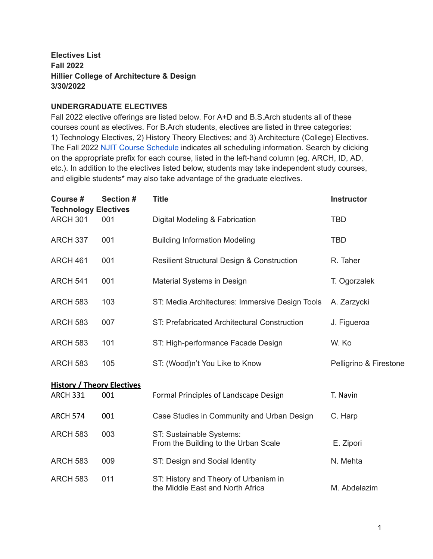## **Electives List Fall 2022 Hillier College of Architecture & Design 3/30/2022**

#### **UNDERGRADUATE ELECTIVES**

Fall 2022 elective offerings are listed below. For A+D and B.S.Arch students all of these courses count as electives. For B.Arch students, electives are listed in three categories: 1) Technology Electives, 2) History Theory Electives; and 3) Architecture (College) Electives. The Fall 2022 NJIT Course [Schedule](https://uisnetpr01.njit.edu/courseschedule/) indicates all scheduling information. Search by clicking on the appropriate prefix for each course, listed in the left-hand column (eg. ARCH, ID, AD, etc.). In addition to the electives listed below, students may take independent study courses, and eligible students\* may also take advantage of the graduate electives.

| Course #<br><b>Technology Electives</b> | Section # | <b>Title</b>                                                              | <b>Instructor</b>      |  |  |  |
|-----------------------------------------|-----------|---------------------------------------------------------------------------|------------------------|--|--|--|
| <b>ARCH 301</b>                         | 001       | Digital Modeling & Fabrication                                            | <b>TBD</b>             |  |  |  |
| <b>ARCH 337</b>                         | 001       | <b>Building Information Modeling</b>                                      | <b>TBD</b>             |  |  |  |
| <b>ARCH 461</b>                         | 001       | <b>Resilient Structural Design &amp; Construction</b>                     | R. Taher               |  |  |  |
| <b>ARCH 541</b>                         | 001       | Material Systems in Design                                                | T. Ogorzalek           |  |  |  |
| <b>ARCH 583</b>                         | 103       | ST: Media Architectures: Immersive Design Tools                           | A. Zarzycki            |  |  |  |
| <b>ARCH 583</b>                         | 007       | ST: Prefabricated Architectural Construction                              | J. Figueroa            |  |  |  |
| <b>ARCH 583</b>                         | 101       | ST: High-performance Facade Design                                        | W. Ko                  |  |  |  |
| <b>ARCH 583</b>                         | 105       | ST: (Wood)n't You Like to Know                                            | Pelligrino & Firestone |  |  |  |
| <b>History / Theory Electives</b>       |           |                                                                           |                        |  |  |  |
| <b>ARCH 331</b>                         | 001       | Formal Principles of Landscape Design                                     | T. Navin               |  |  |  |
| <b>ARCH 574</b>                         | 001       | Case Studies in Community and Urban Design                                | C. Harp                |  |  |  |
| <b>ARCH 583</b>                         | 003       | ST: Sustainable Systems:<br>From the Building to the Urban Scale          | E. Zipori              |  |  |  |
| <b>ARCH 583</b>                         | 009       | ST: Design and Social Identity                                            | N. Mehta               |  |  |  |
| <b>ARCH 583</b>                         | 011       | ST: History and Theory of Urbanism in<br>the Middle East and North Africa | M. Abdelazim           |  |  |  |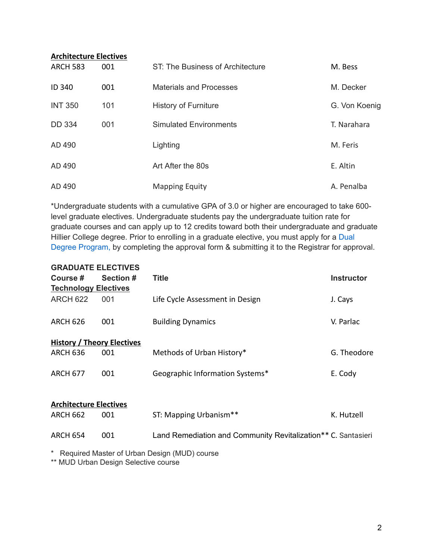| <b>Architecture Electives</b> |     |                                  |               |  |  |  |  |
|-------------------------------|-----|----------------------------------|---------------|--|--|--|--|
| <b>ARCH 583</b>               | 001 | ST: The Business of Architecture | M. Bess       |  |  |  |  |
| <b>ID 340</b>                 | 001 | <b>Materials and Processes</b>   | M. Decker     |  |  |  |  |
| <b>INT 350</b>                | 101 | <b>History of Furniture</b>      | G. Von Koenig |  |  |  |  |
| <b>DD 334</b>                 | 001 | <b>Simulated Environments</b>    | T. Narahara   |  |  |  |  |
| AD 490                        |     | Lighting                         | M. Feris      |  |  |  |  |
| AD 490                        |     | Art After the 80s                | E. Altin      |  |  |  |  |
| AD 490                        |     | <b>Mapping Equity</b>            | A. Penalba    |  |  |  |  |

\*Undergraduate students with a cumulative GPA of 3.0 or higher are encouraged to take 600 level graduate electives. Undergraduate students pay the undergraduate tuition rate for graduate courses and can apply up to 12 credits toward both their undergraduate and graduate Hillier College degree. Prior to enrolling in a graduate elective, you must apply for a Dual Degree Program, by completing the approval form & submitting it to the Registrar for approval.

| <b>GRADUATE ELECTIVES</b>         |                  |                                                               |                   |
|-----------------------------------|------------------|---------------------------------------------------------------|-------------------|
| Course #                          | <b>Section #</b> | <b>Title</b>                                                  | <b>Instructor</b> |
| <b>Technology Electives</b>       |                  |                                                               |                   |
| <b>ARCH 622</b>                   | 001              | Life Cycle Assessment in Design                               | J. Cays           |
| <b>ARCH 626</b>                   | 001              | <b>Building Dynamics</b>                                      | V. Parlac         |
| <b>History / Theory Electives</b> |                  |                                                               |                   |
| <b>ARCH 636</b>                   | 001              | Methods of Urban History*                                     | G. Theodore       |
| <b>ARCH 677</b>                   | 001              | Geographic Information Systems*                               | E. Cody           |
| <b>Architecture Electives</b>     |                  |                                                               |                   |
| <b>ARCH 662</b>                   | 001              | ST: Mapping Urbanism**                                        | K. Hutzell        |
| <b>ARCH 654</b>                   | 001              | Land Remediation and Community Revitalization** C. Santasieri |                   |
|                                   |                  | $\star$ Desired Meeter of Usess Decise (MUID) course          |                   |

Required Master of Urban Design (MUD) course

\*\* MUD Urban Design Selective course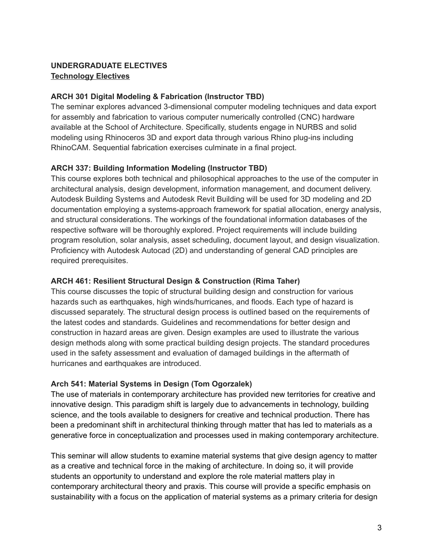# **UNDERGRADUATE ELECTIVES Technology Electives**

## **ARCH 301 Digital Modeling & Fabrication (Instructor TBD)**

The seminar explores advanced 3-dimensional computer modeling techniques and data export for assembly and fabrication to various computer numerically controlled (CNC) hardware available at the School of Architecture. Specifically, students engage in NURBS and solid modeling using Rhinoceros 3D and export data through various Rhino plug-ins including RhinoCAM. Sequential fabrication exercises culminate in a final project.

## **ARCH 337: Building Information Modeling (Instructor TBD)**

This course explores both technical and philosophical approaches to the use of the computer in architectural analysis, design development, information management, and document delivery. Autodesk Building Systems and Autodesk Revit Building will be used for 3D modeling and 2D documentation employing a systems-approach framework for spatial allocation, energy analysis, and structural considerations. The workings of the foundational information databases of the respective software will be thoroughly explored. Project requirements will include building program resolution, solar analysis, asset scheduling, document layout, and design visualization. Proficiency with Autodesk Autocad (2D) and understanding of general CAD principles are required prerequisites.

## **ARCH 461: Resilient Structural Design & Construction (Rima Taher)**

This course discusses the topic of structural building design and construction for various hazards such as earthquakes, high winds/hurricanes, and floods. Each type of hazard is discussed separately. The structural design process is outlined based on the requirements of the latest codes and standards. Guidelines and recommendations for better design and construction in hazard areas are given. Design examples are used to illustrate the various design methods along with some practical building design projects. The standard procedures used in the safety assessment and evaluation of damaged buildings in the aftermath of hurricanes and earthquakes are introduced.

# **Arch 541: Material Systems in Design (Tom Ogorzalek)**

The use of materials in contemporary architecture has provided new territories for creative and innovative design. This paradigm shift is largely due to advancements in technology, building science, and the tools available to designers for creative and technical production. There has been a predominant shift in architectural thinking through matter that has led to materials as a generative force in conceptualization and processes used in making contemporary architecture.

This seminar will allow students to examine material systems that give design agency to matter as a creative and technical force in the making of architecture. In doing so, it will provide students an opportunity to understand and explore the role material matters play in contemporary architectural theory and praxis. This course will provide a specific emphasis on sustainability with a focus on the application of material systems as a primary criteria for design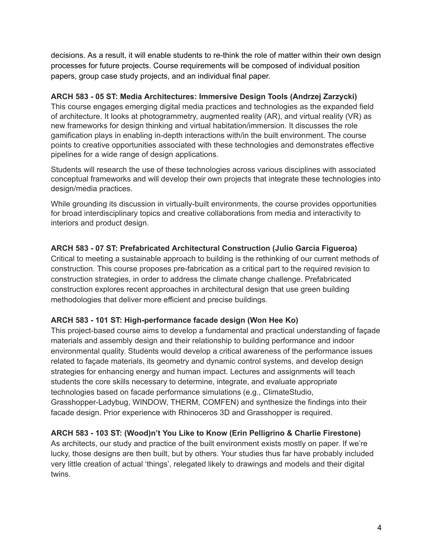decisions. As a result, it will enable students to re-think the role of matter within their own design processes for future projects. Course requirements will be composed of individual position papers, group case study projects, and an individual final paper.

## **ARCH 583 - 05 ST: Media Architectures: Immersive Design Tools (Andrzej Zarzycki)**

This course engages emerging digital media practices and technologies as the expanded field of architecture. It looks at photogrammetry, augmented reality (AR), and virtual reality (VR) as new frameworks for design thinking and virtual habitation/immersion. It discusses the role gamification plays in enabling in-depth interactions with/in the built environment. The course points to creative opportunities associated with these technologies and demonstrates effective pipelines for a wide range of design applications.

Students will research the use of these technologies across various disciplines with associated conceptual frameworks and will develop their own projects that integrate these technologies into design/media practices.

While grounding its discussion in virtually-built environments, the course provides opportunities for broad interdisciplinary topics and creative collaborations from media and interactivity to interiors and product design.

# **ARCH 583 - 07 ST: Prefabricated Architectural Construction (Julio Garcia Figueroa)**

Critical to meeting a sustainable approach to building is the rethinking of our current methods of construction. This course proposes pre-fabrication as a critical part to the required revision to construction strategies, in order to address the climate change challenge. Prefabricated construction explores recent approaches in architectural design that use green building methodologies that deliver more efficient and precise buildings.

# **ARCH 583 - 101 ST: High-performance facade design (Won Hee Ko)**

This project-based course aims to develop a fundamental and practical understanding of façade materials and assembly design and their relationship to building performance and indoor environmental quality. Students would develop a critical awareness of the performance issues related to façade materials, its geometry and dynamic control systems, and develop design strategies for enhancing energy and human impact. Lectures and assignments will teach students the core skills necessary to determine, integrate, and evaluate appropriate technologies based on facade performance simulations (e.g., ClimateStudio, Grasshopper-Ladybug, WINDOW, THERM, COMFEN) and synthesize the findings into their facade design. Prior experience with Rhinoceros 3D and Grasshopper is required.

# **ARCH 583 - 103 ST: (Wood)n't You Like to Know (Erin Pelligrino & Charlie Firestone)**

As architects, our study and practice of the built environment exists mostly on paper. If we're lucky, those designs are then built, but by others. Your studies thus far have probably included very little creation of actual 'things', relegated likely to drawings and models and their digital twins.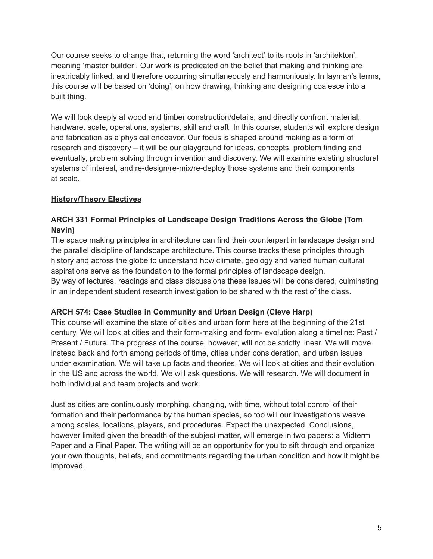Our course seeks to change that, returning the word 'architect' to its roots in 'architekton', meaning 'master builder'. Our work is predicated on the belief that making and thinking are inextricably linked, and therefore occurring simultaneously and harmoniously. In layman's terms, this course will be based on 'doing', on how drawing, thinking and designing coalesce into a built thing.

We will look deeply at wood and timber construction/details, and directly confront material, hardware, scale, operations, systems, skill and craft. In this course, students will explore design and fabrication as a physical endeavor. Our focus is shaped around making as a form of research and discovery – it will be our playground for ideas, concepts, problem finding and eventually, problem solving through invention and discovery. We will examine existing structural systems of interest, and re-design/re-mix/re-deploy those systems and their components at scale.

### **History/Theory Electives**

## **ARCH 331 Formal Principles of Landscape Design Traditions Across the Globe (Tom Navin)**

The space making principles in architecture can find their counterpart in landscape design and the parallel discipline of landscape architecture. This course tracks these principles through history and across the globe to understand how climate, geology and varied human cultural aspirations serve as the foundation to the formal principles of landscape design. By way of lectures, readings and class discussions these issues will be considered, culminating in an independent student research investigation to be shared with the rest of the class.

### **ARCH 574: Case Studies in Community and Urban Design (Cleve Harp)**

This course will examine the state of cities and urban form here at the beginning of the 21st century. We will look at cities and their form-making and form- evolution along a timeline: Past / Present / Future. The progress of the course, however, will not be strictly linear. We will move instead back and forth among periods of time, cities under consideration, and urban issues under examination. We will take up facts and theories. We will look at cities and their evolution in the US and across the world. We will ask questions. We will research. We will document in both individual and team projects and work.

Just as cities are continuously morphing, changing, with time, without total control of their formation and their performance by the human species, so too will our investigations weave among scales, locations, players, and procedures. Expect the unexpected. Conclusions, however limited given the breadth of the subject matter, will emerge in two papers: a Midterm Paper and a Final Paper. The writing will be an opportunity for you to sift through and organize your own thoughts, beliefs, and commitments regarding the urban condition and how it might be improved.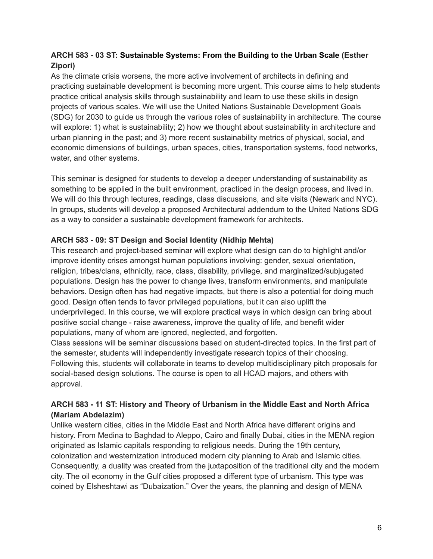## **ARCH 583 - 03 ST: Sustainable Systems: From the Building to the Urban Scale (Esther Zipori)**

As the climate crisis worsens, the more active involvement of architects in defining and practicing sustainable development is becoming more urgent. This course aims to help students practice critical analysis skills through sustainability and learn to use these skills in design projects of various scales. We will use the United Nations Sustainable Development Goals (SDG) for 2030 to guide us through the various roles of sustainability in architecture. The course will explore: 1) what is sustainability; 2) how we thought about sustainability in architecture and urban planning in the past; and 3) more recent sustainability metrics of physical, social, and economic dimensions of buildings, urban spaces, cities, transportation systems, food networks, water, and other systems.

This seminar is designed for students to develop a deeper understanding of sustainability as something to be applied in the built environment, practiced in the design process, and lived in. We will do this through lectures, readings, class discussions, and site visits (Newark and NYC). In groups, students will develop a proposed Architectural addendum to the United Nations SDG as a way to consider a sustainable development framework for architects.

### **ARCH 583 - 09: ST Design and Social Identity (Nidhip Mehta)**

This research and project-based seminar will explore what design can do to highlight and/or improve identity crises amongst human populations involving: gender, sexual orientation, religion, tribes/clans, ethnicity, race, class, disability, privilege, and marginalized/subjugated populations. Design has the power to change lives, transform environments, and manipulate behaviors. Design often has had negative impacts, but there is also a potential for doing much good. Design often tends to favor privileged populations, but it can also uplift the underprivileged. In this course, we will explore practical ways in which design can bring about positive social change - raise awareness, improve the quality of life, and benefit wider populations, many of whom are ignored, neglected, and forgotten.

Class sessions will be seminar discussions based on student-directed topics. In the first part of the semester, students will independently investigate research topics of their choosing. Following this, students will collaborate in teams to develop multidisciplinary pitch proposals for social-based design solutions. The course is open to all HCAD majors, and others with approval.

# **ARCH 583 - 11 ST: History and Theory of Urbanism in the Middle East and North Africa (Mariam Abdelazim)**

Unlike western cities, cities in the Middle East and North Africa have different origins and history. From Medina to Baghdad to Aleppo, Cairo and finally Dubai, cities in the MENA region originated as Islamic capitals responding to religious needs. During the 19th century, colonization and westernization introduced modern city planning to Arab and Islamic cities. Consequently, a duality was created from the juxtaposition of the traditional city and the modern city. The oil economy in the Gulf cities proposed a different type of urbanism. This type was coined by Elsheshtawi as "Dubaization." Over the years, the planning and design of MENA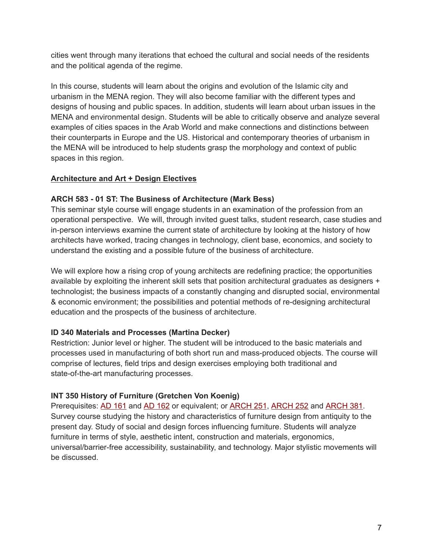cities went through many iterations that echoed the cultural and social needs of the residents and the political agenda of the regime.

In this course, students will learn about the origins and evolution of the Islamic city and urbanism in the MENA region. They will also become familiar with the different types and designs of housing and public spaces. In addition, students will learn about urban issues in the MENA and environmental design. Students will be able to critically observe and analyze several examples of cities spaces in the Arab World and make connections and distinctions between their counterparts in Europe and the US. Historical and contemporary theories of urbanism in the MENA will be introduced to help students grasp the morphology and context of public spaces in this region.

### **Architecture and Art + Design Electives**

#### **ARCH 583 - 01 ST: The Business of Architecture (Mark Bess)**

This seminar style course will engage students in an examination of the profession from an operational perspective. We will, through invited guest talks, student research, case studies and in-person interviews examine the current state of architecture by looking at the history of how architects have worked, tracing changes in technology, client base, economics, and society to understand the existing and a possible future of the business of architecture.

We will explore how a rising crop of young architects are redefining practice; the opportunities available by exploiting the inherent skill sets that position architectural graduates as designers + technologist; the business impacts of a constantly changing and disrupted social, environmental & economic environment; the possibilities and potential methods of re-designing architectural education and the prospects of the business of architecture.

### **ID 340 Materials and Processes (Martina Decker)**

Restriction: Junior level or higher. The student will be introduced to the basic materials and processes used in manufacturing of both short run and mass-produced objects. The course will comprise of lectures, field trips and design exercises employing both traditional and state-of-the-art manufacturing processes.

#### **INT 350 History of Furniture (Gretchen Von Koenig)**

Prerequisites: AD [161](https://catalog.njit.edu/search/?P=AD%20161) and AD [162](https://catalog.njit.edu/search/?P=AD%20162) or equivalent; or [ARCH](https://catalog.njit.edu/search/?P=ARCH%20251) 251, [ARCH](https://catalog.njit.edu/search/?P=ARCH%20252) 252 and [ARCH](https://catalog.njit.edu/search/?P=ARCH%20381) 381. Survey course studying the history and characteristics of furniture design from antiquity to the present day. Study of social and design forces influencing furniture. Students will analyze furniture in terms of style, aesthetic intent, construction and materials, ergonomics, universal/barrier-free accessibility, sustainability, and technology. Major stylistic movements will be discussed.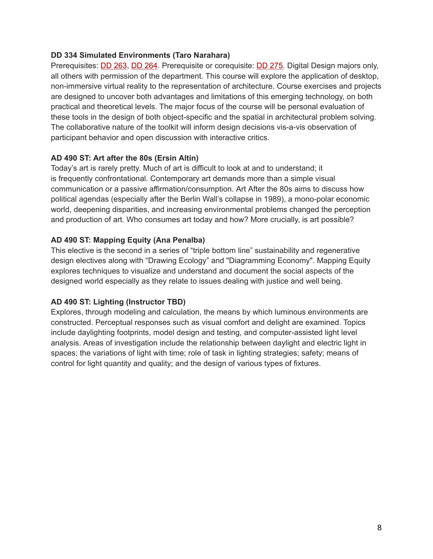#### **DD 334 Simulated Environments (Taro Narahara)**

Prerequisites: **DD [263](https://catalog.njit.edu/search/?P=DD%20263), DD [264.](https://catalog.njit.edu/search/?P=DD%20264)** Prerequisite or corequisite: **DD [275](https://catalog.njit.edu/search/?P=DD%20275).** Digital Design majors only, all others with permission of the department. This course will explore the application of desktop, non-immersive virtual reality to the representation of architecture. Course exercises and projects are designed to uncover both advantages and limitations of this emerging technology, on both practical and theoretical levels. The major focus of the course will be personal evaluation of these tools in the design of both object-specific and the spatial in architectural problem solving. The collaborative nature of the toolkit will inform design decisions vis-a-vis observation of participant behavior and open discussion with interactive critics.

#### **AD 490 ST: Art after the 80s (Ersin Altin)**

Today's art is rarely pretty. Much of art is difficult to look at and to understand; it is frequently confrontational. Contemporary art demands more than a simple visual communication or a passive affirmation/consumption. Art After the 80s aims to discuss how political agendas (especially after the Berlin Wall's collapse in 1989), a mono-polar economic world, deepening disparities, and increasing environmental problems changed the perception and production of art. Who consumes art today and how? More crucially, is art possible?

### **AD 490 ST: Mapping Equity (Ana Penalba)**

This elective is the second in a series of "triple bottom line" sustainability and regenerative design electives along with "Drawing Ecology" and "Diagramming Economy". Mapping Equity explores techniques to visualize and understand and document the social aspects of the designed world especially as they relate to issues dealing with justice and well being.

### **AD 490 ST: Lighting (Instructor TBD)**

Explores, through modeling and calculation, the means by which luminous environments are constructed. Perceptual responses such as visual comfort and delight are examined. Topics include daylighting footprints, model design and testing, and computer-assisted light level analysis. Areas of investigation include the relationship between daylight and electric light in spaces; the variations of light with time; role of task in lighting strategies; safety; means of control for light quantity and quality; and the design of various types of fixtures.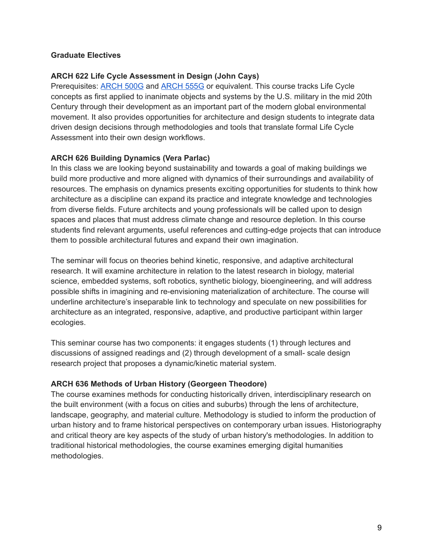#### **Graduate Electives**

#### **ARCH 622 Life Cycle Assessment in Design (John Cays)**

Prerequisites: [ARCH](https://catalog.njit.edu/search/?P=ARCH%20500G) 500G and [ARCH](https://catalog.njit.edu/search/?P=ARCH%20555G) 555G or equivalent. This course tracks Life Cycle concepts as first applied to inanimate objects and systems by the U.S. military in the mid 20th Century through their development as an important part of the modern global environmental movement. It also provides opportunities for architecture and design students to integrate data driven design decisions through methodologies and tools that translate formal Life Cycle Assessment into their own design workflows.

#### **ARCH 626 Building Dynamics (Vera Parlac)**

In this class we are looking beyond sustainability and towards a goal of making buildings we build more productive and more aligned with dynamics of their surroundings and availability of resources. The emphasis on dynamics presents exciting opportunities for students to think how architecture as a discipline can expand its practice and integrate knowledge and technologies from diverse fields. Future architects and young professionals will be called upon to design spaces and places that must address climate change and resource depletion. In this course students find relevant arguments, useful references and cutting-edge projects that can introduce them to possible architectural futures and expand their own imagination.

The seminar will focus on theories behind kinetic, responsive, and adaptive architectural research. It will examine architecture in relation to the latest research in biology, material science, embedded systems, soft robotics, synthetic biology, bioengineering, and will address possible shifts in imagining and re-envisioning materialization of architecture. The course will underline architecture's inseparable link to technology and speculate on new possibilities for architecture as an integrated, responsive, adaptive, and productive participant within larger ecologies.

This seminar course has two components: it engages students (1) through lectures and discussions of assigned readings and (2) through development of a small- scale design research project that proposes a dynamic/kinetic material system.

### **ARCH 636 Methods of Urban History (Georgeen Theodore)**

The course examines methods for conducting historically driven, interdisciplinary research on the built environment (with a focus on cities and suburbs) through the lens of architecture, landscape, geography, and material culture. Methodology is studied to inform the production of urban history and to frame historical perspectives on contemporary urban issues. Historiography and critical theory are key aspects of the study of urban history's methodologies. In addition to traditional historical methodologies, the course examines emerging digital humanities methodologies.